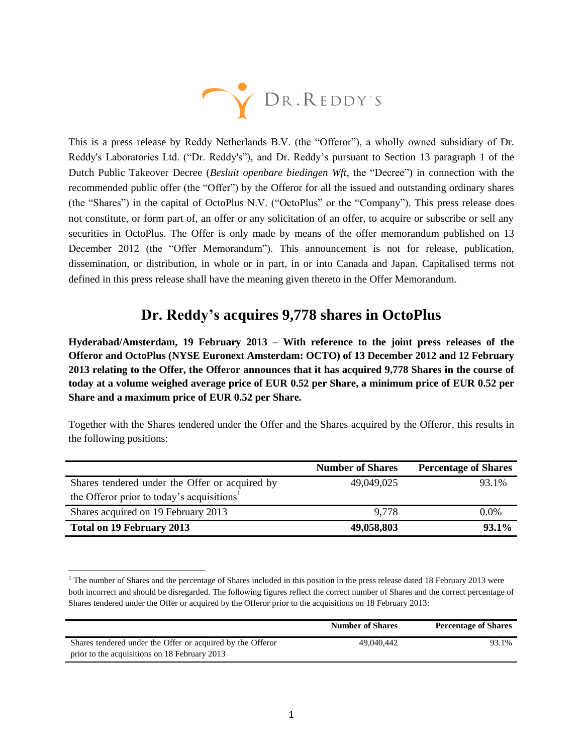

This is a press release by Reddy Netherlands B.V. (the "Offeror"), a wholly owned subsidiary of Dr. Reddy's Laboratories Ltd. ("Dr. Reddy's"), and Dr. Reddy's pursuant to Section 13 paragraph 1 of the Dutch Public Takeover Decree (*Besluit openbare biedingen Wft*, the "Decree") in connection with the recommended public offer (the "Offer") by the Offeror for all the issued and outstanding ordinary shares (the "Shares") in the capital of OctoPlus N.V. ("OctoPlus" or the "Company"). This press release does not constitute, or form part of, an offer or any solicitation of an offer, to acquire or subscribe or sell any securities in OctoPlus. The Offer is only made by means of the offer memorandum published on 13 December 2012 (the "Offer Memorandum"). This announcement is not for release, publication, dissemination, or distribution, in whole or in part, in or into Canada and Japan. Capitalised terms not defined in this press release shall have the meaning given thereto in the Offer Memorandum.

# **Dr. Reddy's acquires 9,778 shares in OctoPlus**

**Hyderabad/Amsterdam, 19 February 2013 – With reference to the joint press releases of the Offeror and OctoPlus (NYSE Euronext Amsterdam: OCTO) of 13 December 2012 and 12 February 2013 relating to the Offer, the Offeror announces that it has acquired 9,778 Shares in the course of today at a volume weighed average price of EUR 0.52 per Share, a minimum price of EUR 0.52 per Share and a maximum price of EUR 0.52 per Share.**

Together with the Shares tendered under the Offer and the Shares acquired by the Offeror, this results in the following positions:

|                                                        | <b>Number of Shares</b> | <b>Percentage of Shares</b> |
|--------------------------------------------------------|-------------------------|-----------------------------|
| Shares tendered under the Offer or acquired by         | 49,049,025              | 93.1%                       |
| the Offeror prior to today's acquisitions <sup>1</sup> |                         |                             |
| Shares acquired on 19 February 2013                    | 9.778                   | $0.0\%$                     |
| <b>Total on 19 February 2013</b>                       | 49,058,803              | $93.1\%$                    |

l <sup>1</sup> The number of Shares and the percentage of Shares included in this position in the press release dated 18 February 2013 were both incorrect and should be disregarded. The following figures reflect the correct number of Shares and the correct percentage of Shares tendered under the Offer or acquired by the Offeror prior to the acquisitions on 18 February 2013:

|                                                            | <b>Number of Shares</b> | <b>Percentage of Shares</b> |
|------------------------------------------------------------|-------------------------|-----------------------------|
| Shares tendered under the Offer or acquired by the Offeror | 49,040,442              | 93.1%                       |
| prior to the acquisitions on 18 February 2013              |                         |                             |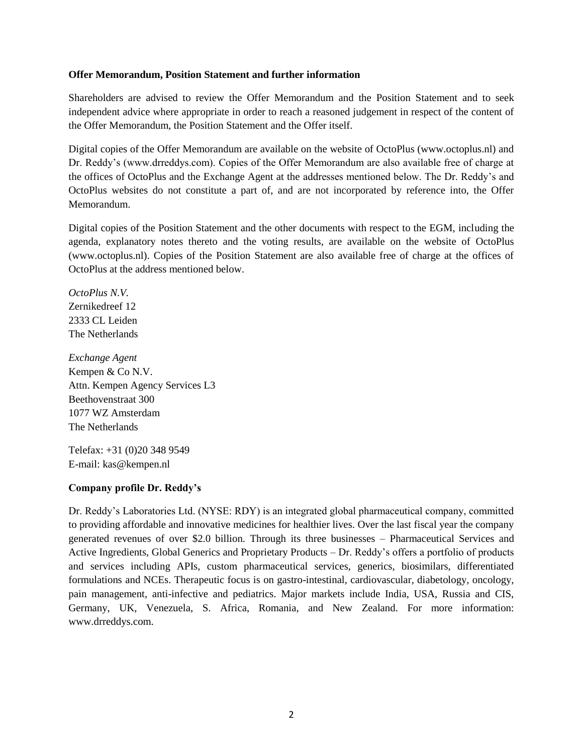#### **Offer Memorandum, Position Statement and further information**

Shareholders are advised to review the Offer Memorandum and the Position Statement and to seek independent advice where appropriate in order to reach a reasoned judgement in respect of the content of the Offer Memorandum, the Position Statement and the Offer itself.

Digital copies of the Offer Memorandum are available on the website of OctoPlus (www.octoplus.nl) and Dr. Reddy's (www.drreddys.com). Copies of the Offer Memorandum are also available free of charge at the offices of OctoPlus and the Exchange Agent at the addresses mentioned below. The Dr. Reddy's and OctoPlus websites do not constitute a part of, and are not incorporated by reference into, the Offer Memorandum.

Digital copies of the Position Statement and the other documents with respect to the EGM, including the agenda, explanatory notes thereto and the voting results, are available on the website of OctoPlus (www.octoplus.nl). Copies of the Position Statement are also available free of charge at the offices of OctoPlus at the address mentioned below.

*OctoPlus N.V.* Zernikedreef 12 2333 CL Leiden The Netherlands

*Exchange Agent* Kempen & Co N.V. Attn. Kempen Agency Services L3 Beethovenstraat 300 1077 WZ Amsterdam The Netherlands

Telefax: +31 (0)20 348 9549 E-mail: kas@kempen.nl

#### **Company profile Dr. Reddy's**

Dr. Reddy's Laboratories Ltd. (NYSE: RDY) is an integrated global pharmaceutical company, committed to providing affordable and innovative medicines for healthier lives. Over the last fiscal year the company generated revenues of over \$2.0 billion. Through its three businesses – Pharmaceutical Services and Active Ingredients, Global Generics and Proprietary Products – Dr. Reddy's offers a portfolio of products and services including APIs, custom pharmaceutical services, generics, biosimilars, differentiated formulations and NCEs. Therapeutic focus is on gastro-intestinal, cardiovascular, diabetology, oncology, pain management, anti-infective and pediatrics. Major markets include India, USA, Russia and CIS, Germany, UK, Venezuela, S. Africa, Romania, and New Zealand. For more information: www.drreddys.com.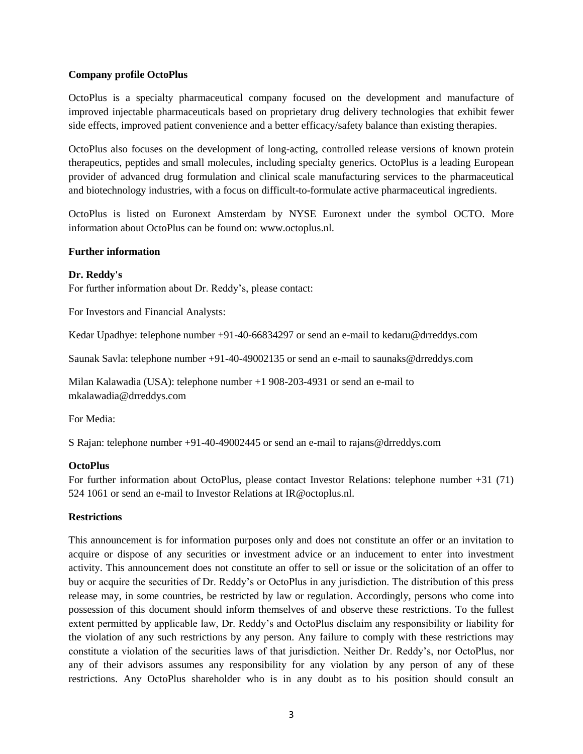#### **Company profile OctoPlus**

OctoPlus is a specialty pharmaceutical company focused on the development and manufacture of improved injectable pharmaceuticals based on proprietary drug delivery technologies that exhibit fewer side effects, improved patient convenience and a better efficacy/safety balance than existing therapies.

OctoPlus also focuses on the development of long-acting, controlled release versions of known protein therapeutics, peptides and small molecules, including specialty generics. OctoPlus is a leading European provider of advanced drug formulation and clinical scale manufacturing services to the pharmaceutical and biotechnology industries, with a focus on difficult-to-formulate active pharmaceutical ingredients.

OctoPlus is listed on Euronext Amsterdam by NYSE Euronext under the symbol OCTO. More information about OctoPlus can be found on: www.octoplus.nl.

#### **Further information**

#### **Dr. Reddy's**

For further information about Dr. Reddy's, please contact:

For Investors and Financial Analysts:

Kedar Upadhye: telephone number +91-40-66834297 or send an e-mail to [kedaru@drreddys.com](mailto:kedaru@drreddys.com)

Saunak Savla: telephone number +91-40-49002135 or send an e-mail t[o saunaks@drreddys.com](mailto:saunaks@drreddys.com)

Milan Kalawadia (USA): telephone number +1 908-203-4931 or send an e-mail to [mkalawadia@drreddys.com](mailto:mkalawadia@drreddys.com)

For Media:

S Rajan: telephone number +91-40-49002445 or send an e-mail t[o rajans@drreddys.com](mailto:rajans@drreddys.com)

#### **OctoPlus**

For further information about OctoPlus, please contact Investor Relations: telephone number +31 (71) 524 1061 or send an e-mail to Investor Relations at IR@octoplus.nl.

#### **Restrictions**

This announcement is for information purposes only and does not constitute an offer or an invitation to acquire or dispose of any securities or investment advice or an inducement to enter into investment activity. This announcement does not constitute an offer to sell or issue or the solicitation of an offer to buy or acquire the securities of Dr. Reddy's or OctoPlus in any jurisdiction. The distribution of this press release may, in some countries, be restricted by law or regulation. Accordingly, persons who come into possession of this document should inform themselves of and observe these restrictions. To the fullest extent permitted by applicable law, Dr. Reddy's and OctoPlus disclaim any responsibility or liability for the violation of any such restrictions by any person. Any failure to comply with these restrictions may constitute a violation of the securities laws of that jurisdiction. Neither Dr. Reddy's, nor OctoPlus, nor any of their advisors assumes any responsibility for any violation by any person of any of these restrictions. Any OctoPlus shareholder who is in any doubt as to his position should consult an